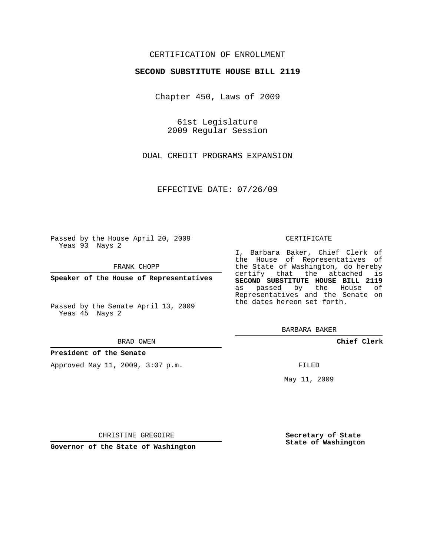## CERTIFICATION OF ENROLLMENT

### **SECOND SUBSTITUTE HOUSE BILL 2119**

Chapter 450, Laws of 2009

61st Legislature 2009 Regular Session

DUAL CREDIT PROGRAMS EXPANSION

EFFECTIVE DATE: 07/26/09

Passed by the House April 20, 2009 Yeas 93 Nays 2

FRANK CHOPP

**Speaker of the House of Representatives**

Passed by the Senate April 13, 2009 Yeas 45 Nays 2

#### BRAD OWEN

#### **President of the Senate**

Approved May 11, 2009, 3:07 p.m.

#### CERTIFICATE

I, Barbara Baker, Chief Clerk of the House of Representatives of the State of Washington, do hereby certify that the attached is **SECOND SUBSTITUTE HOUSE BILL 2119** as passed by the House of Representatives and the Senate on the dates hereon set forth.

BARBARA BAKER

**Chief Clerk**

FILED

May 11, 2009

**Secretary of State State of Washington**

CHRISTINE GREGOIRE

**Governor of the State of Washington**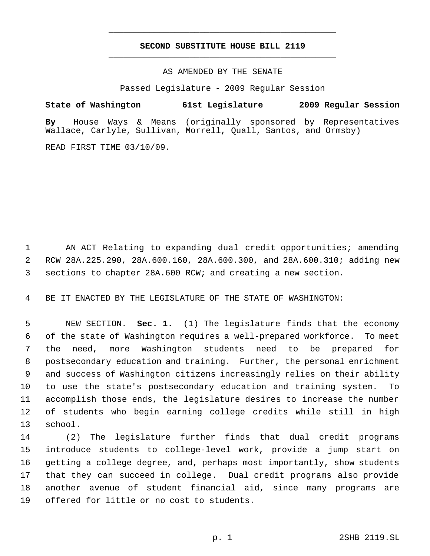# **SECOND SUBSTITUTE HOUSE BILL 2119** \_\_\_\_\_\_\_\_\_\_\_\_\_\_\_\_\_\_\_\_\_\_\_\_\_\_\_\_\_\_\_\_\_\_\_\_\_\_\_\_\_\_\_\_\_

\_\_\_\_\_\_\_\_\_\_\_\_\_\_\_\_\_\_\_\_\_\_\_\_\_\_\_\_\_\_\_\_\_\_\_\_\_\_\_\_\_\_\_\_\_

### AS AMENDED BY THE SENATE

Passed Legislature - 2009 Regular Session

**State of Washington 61st Legislature 2009 Regular Session By** House Ways & Means (originally sponsored by Representatives Wallace, Carlyle, Sullivan, Morrell, Quall, Santos, and Ormsby)

READ FIRST TIME 03/10/09.

 AN ACT Relating to expanding dual credit opportunities; amending RCW 28A.225.290, 28A.600.160, 28A.600.300, and 28A.600.310; adding new sections to chapter 28A.600 RCW; and creating a new section.

BE IT ENACTED BY THE LEGISLATURE OF THE STATE OF WASHINGTON:

 NEW SECTION. **Sec. 1.** (1) The legislature finds that the economy of the state of Washington requires a well-prepared workforce. To meet the need, more Washington students need to be prepared for postsecondary education and training. Further, the personal enrichment and success of Washington citizens increasingly relies on their ability to use the state's postsecondary education and training system. To accomplish those ends, the legislature desires to increase the number of students who begin earning college credits while still in high school.

 (2) The legislature further finds that dual credit programs introduce students to college-level work, provide a jump start on getting a college degree, and, perhaps most importantly, show students that they can succeed in college. Dual credit programs also provide another avenue of student financial aid, since many programs are offered for little or no cost to students.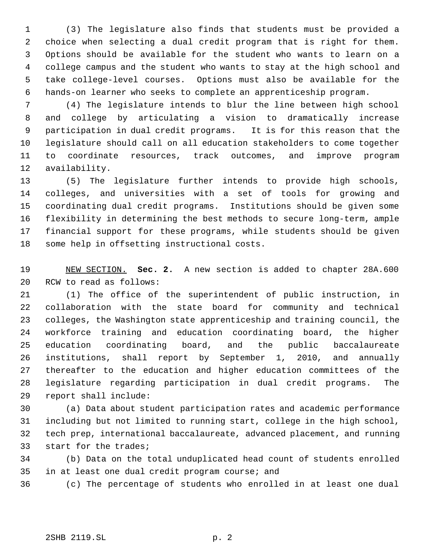(3) The legislature also finds that students must be provided a choice when selecting a dual credit program that is right for them. Options should be available for the student who wants to learn on a college campus and the student who wants to stay at the high school and take college-level courses. Options must also be available for the hands-on learner who seeks to complete an apprenticeship program.

 (4) The legislature intends to blur the line between high school and college by articulating a vision to dramatically increase participation in dual credit programs. It is for this reason that the legislature should call on all education stakeholders to come together to coordinate resources, track outcomes, and improve program availability.

 (5) The legislature further intends to provide high schools, colleges, and universities with a set of tools for growing and coordinating dual credit programs. Institutions should be given some flexibility in determining the best methods to secure long-term, ample financial support for these programs, while students should be given some help in offsetting instructional costs.

 NEW SECTION. **Sec. 2.** A new section is added to chapter 28A.600 RCW to read as follows:

 (1) The office of the superintendent of public instruction, in collaboration with the state board for community and technical colleges, the Washington state apprenticeship and training council, the workforce training and education coordinating board, the higher education coordinating board, and the public baccalaureate institutions, shall report by September 1, 2010, and annually thereafter to the education and higher education committees of the legislature regarding participation in dual credit programs. The report shall include:

 (a) Data about student participation rates and academic performance including but not limited to running start, college in the high school, tech prep, international baccalaureate, advanced placement, and running start for the trades;

 (b) Data on the total unduplicated head count of students enrolled in at least one dual credit program course; and

(c) The percentage of students who enrolled in at least one dual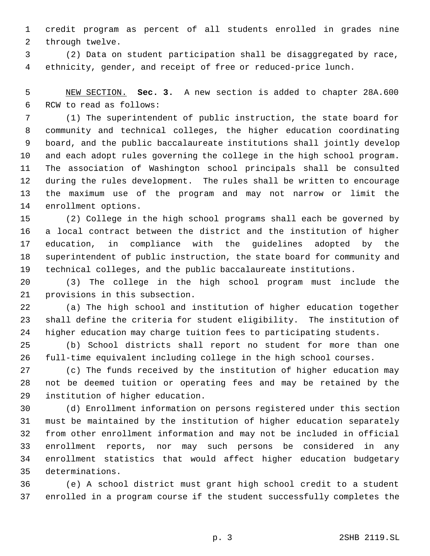credit program as percent of all students enrolled in grades nine through twelve.

 (2) Data on student participation shall be disaggregated by race, ethnicity, gender, and receipt of free or reduced-price lunch.

 NEW SECTION. **Sec. 3.** A new section is added to chapter 28A.600 RCW to read as follows:

 (1) The superintendent of public instruction, the state board for community and technical colleges, the higher education coordinating board, and the public baccalaureate institutions shall jointly develop and each adopt rules governing the college in the high school program. The association of Washington school principals shall be consulted during the rules development. The rules shall be written to encourage the maximum use of the program and may not narrow or limit the enrollment options.

 (2) College in the high school programs shall each be governed by a local contract between the district and the institution of higher education, in compliance with the guidelines adopted by the superintendent of public instruction, the state board for community and technical colleges, and the public baccalaureate institutions.

 (3) The college in the high school program must include the provisions in this subsection.

 (a) The high school and institution of higher education together shall define the criteria for student eligibility. The institution of higher education may charge tuition fees to participating students.

 (b) School districts shall report no student for more than one full-time equivalent including college in the high school courses.

 (c) The funds received by the institution of higher education may not be deemed tuition or operating fees and may be retained by the institution of higher education.

 (d) Enrollment information on persons registered under this section must be maintained by the institution of higher education separately from other enrollment information and may not be included in official enrollment reports, nor may such persons be considered in any enrollment statistics that would affect higher education budgetary determinations.

 (e) A school district must grant high school credit to a student enrolled in a program course if the student successfully completes the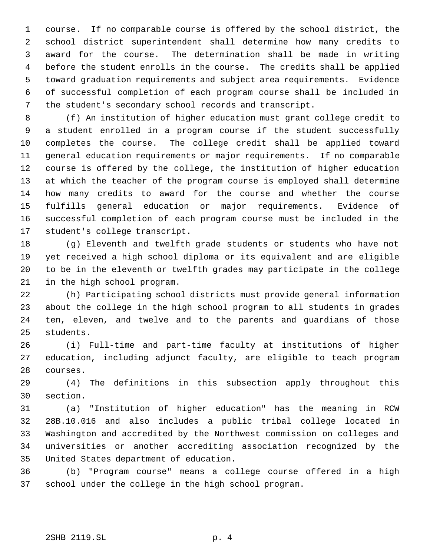course. If no comparable course is offered by the school district, the school district superintendent shall determine how many credits to award for the course. The determination shall be made in writing before the student enrolls in the course. The credits shall be applied toward graduation requirements and subject area requirements. Evidence of successful completion of each program course shall be included in the student's secondary school records and transcript.

 (f) An institution of higher education must grant college credit to a student enrolled in a program course if the student successfully completes the course. The college credit shall be applied toward general education requirements or major requirements. If no comparable course is offered by the college, the institution of higher education at which the teacher of the program course is employed shall determine how many credits to award for the course and whether the course fulfills general education or major requirements. Evidence of successful completion of each program course must be included in the student's college transcript.

 (g) Eleventh and twelfth grade students or students who have not yet received a high school diploma or its equivalent and are eligible to be in the eleventh or twelfth grades may participate in the college in the high school program.

 (h) Participating school districts must provide general information about the college in the high school program to all students in grades ten, eleven, and twelve and to the parents and guardians of those students.

 (i) Full-time and part-time faculty at institutions of higher education, including adjunct faculty, are eligible to teach program courses.

 (4) The definitions in this subsection apply throughout this section.

 (a) "Institution of higher education" has the meaning in RCW 28B.10.016 and also includes a public tribal college located in Washington and accredited by the Northwest commission on colleges and universities or another accrediting association recognized by the United States department of education.

 (b) "Program course" means a college course offered in a high school under the college in the high school program.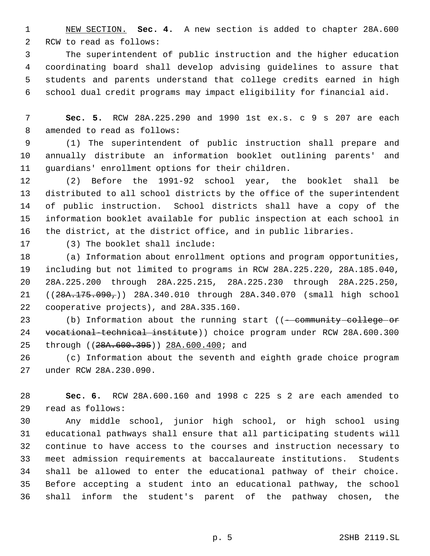NEW SECTION. **Sec. 4.** A new section is added to chapter 28A.600 RCW to read as follows:

 The superintendent of public instruction and the higher education coordinating board shall develop advising guidelines to assure that students and parents understand that college credits earned in high school dual credit programs may impact eligibility for financial aid.

 **Sec. 5.** RCW 28A.225.290 and 1990 1st ex.s. c 9 s 207 are each amended to read as follows:

 (1) The superintendent of public instruction shall prepare and annually distribute an information booklet outlining parents' and guardians' enrollment options for their children.

 (2) Before the 1991-92 school year, the booklet shall be distributed to all school districts by the office of the superintendent of public instruction. School districts shall have a copy of the information booklet available for public inspection at each school in the district, at the district office, and in public libraries.

(3) The booklet shall include:

 (a) Information about enrollment options and program opportunities, including but not limited to programs in RCW 28A.225.220, 28A.185.040, 28A.225.200 through 28A.225.215, 28A.225.230 through 28A.225.250, ((28A.175.090,)) 28A.340.010 through 28A.340.070 (small high school cooperative projects), and 28A.335.160.

23 (b) Information about the running start ((- community college or vocational-technical institute)) choice program under RCW 28A.600.300 25 through ((28A.600.395)) 28A.600.400; and

 (c) Information about the seventh and eighth grade choice program under RCW 28A.230.090.

 **Sec. 6.** RCW 28A.600.160 and 1998 c 225 s 2 are each amended to read as follows:

 Any middle school, junior high school, or high school using educational pathways shall ensure that all participating students will continue to have access to the courses and instruction necessary to meet admission requirements at baccalaureate institutions. Students shall be allowed to enter the educational pathway of their choice. Before accepting a student into an educational pathway, the school shall inform the student's parent of the pathway chosen, the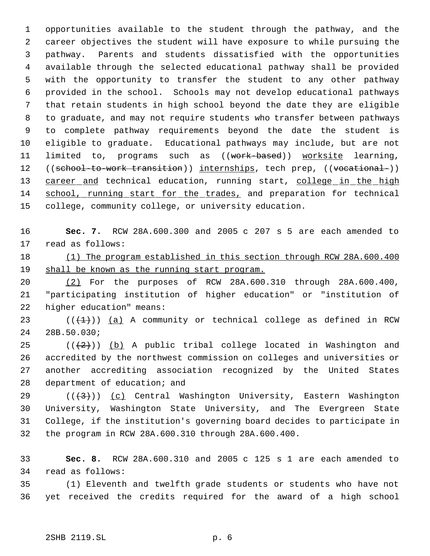opportunities available to the student through the pathway, and the career objectives the student will have exposure to while pursuing the pathway. Parents and students dissatisfied with the opportunities available through the selected educational pathway shall be provided with the opportunity to transfer the student to any other pathway provided in the school. Schools may not develop educational pathways that retain students in high school beyond the date they are eligible to graduate, and may not require students who transfer between pathways to complete pathway requirements beyond the date the student is eligible to graduate. Educational pathways may include, but are not 11 limited to, programs such as ((work-based)) worksite learning, 12 ((school-to-work transition)) internships, tech prep, ((vocational-)) 13 career and technical education, running start, college in the high school, running start for the trades, and preparation for technical college, community college, or university education.

 **Sec. 7.** RCW 28A.600.300 and 2005 c 207 s 5 are each amended to read as follows:

 (1) The program established in this section through RCW 28A.600.400 19 shall be known as the running start program.

 (2) For the purposes of RCW 28A.600.310 through 28A.600.400, "participating institution of higher education" or "institution of higher education" means:

23  $((+1))$  (a) A community or technical college as defined in RCW 28B.50.030;

 $((+2))$  (b) A public tribal college located in Washington and accredited by the northwest commission on colleges and universities or another accrediting association recognized by the United States department of education; and

 $((+3))$   $(c)$  Central Washington University, Eastern Washington University, Washington State University, and The Evergreen State College, if the institution's governing board decides to participate in the program in RCW 28A.600.310 through 28A.600.400.

 **Sec. 8.** RCW 28A.600.310 and 2005 c 125 s 1 are each amended to read as follows:

 (1) Eleventh and twelfth grade students or students who have not yet received the credits required for the award of a high school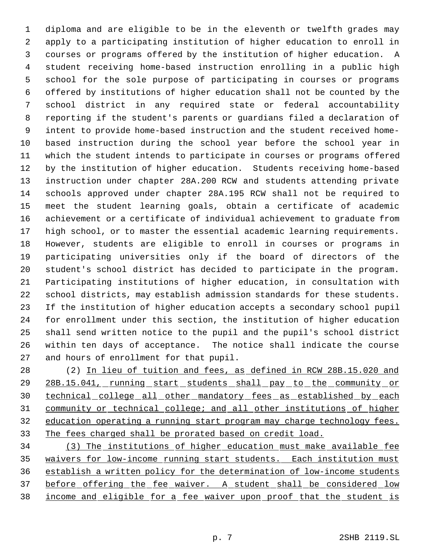diploma and are eligible to be in the eleventh or twelfth grades may apply to a participating institution of higher education to enroll in courses or programs offered by the institution of higher education. A student receiving home-based instruction enrolling in a public high school for the sole purpose of participating in courses or programs offered by institutions of higher education shall not be counted by the school district in any required state or federal accountability reporting if the student's parents or guardians filed a declaration of intent to provide home-based instruction and the student received home- based instruction during the school year before the school year in which the student intends to participate in courses or programs offered by the institution of higher education. Students receiving home-based instruction under chapter 28A.200 RCW and students attending private schools approved under chapter 28A.195 RCW shall not be required to meet the student learning goals, obtain a certificate of academic achievement or a certificate of individual achievement to graduate from high school, or to master the essential academic learning requirements. However, students are eligible to enroll in courses or programs in participating universities only if the board of directors of the student's school district has decided to participate in the program. Participating institutions of higher education, in consultation with school districts, may establish admission standards for these students. If the institution of higher education accepts a secondary school pupil for enrollment under this section, the institution of higher education shall send written notice to the pupil and the pupil's school district within ten days of acceptance. The notice shall indicate the course and hours of enrollment for that pupil.

28 (2) In lieu of tuition and fees, as defined in RCW 28B.15.020 and 29 28B.15.041, running start students shall pay to the community or technical college all other mandatory fees as established by each community or technical college; and all other institutions of higher education operating a running start program may charge technology fees. The fees charged shall be prorated based on credit load.

 (3) The institutions of higher education must make available fee waivers for low-income running start students. Each institution must establish a written policy for the determination of low-income students before offering the fee waiver. A student shall be considered low income and eligible for a fee waiver upon proof that the student is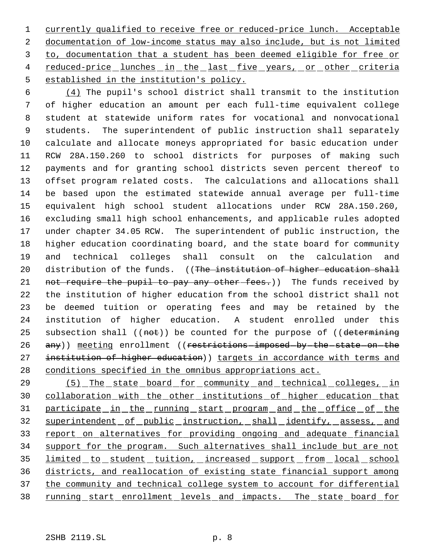currently qualified to receive free or reduced-price lunch. Acceptable documentation of low-income status may also include, but is not limited to, documentation that a student has been deemed eligible for free or 4 reduced-price lunches in the last five years, or other criteria established in the institution's policy.

 (4) The pupil's school district shall transmit to the institution of higher education an amount per each full-time equivalent college student at statewide uniform rates for vocational and nonvocational students. The superintendent of public instruction shall separately calculate and allocate moneys appropriated for basic education under RCW 28A.150.260 to school districts for purposes of making such payments and for granting school districts seven percent thereof to offset program related costs. The calculations and allocations shall be based upon the estimated statewide annual average per full-time equivalent high school student allocations under RCW 28A.150.260, excluding small high school enhancements, and applicable rules adopted under chapter 34.05 RCW. The superintendent of public instruction, the higher education coordinating board, and the state board for community and technical colleges shall consult on the calculation and 20 distribution of the funds. ((The institution of higher education shall 21 not require the pupil to pay any other fees.)) The funds received by the institution of higher education from the school district shall not be deemed tuition or operating fees and may be retained by the institution of higher education. A student enrolled under this 25 subsection shall  $((not))$  be counted for the purpose of  $((determining$ 26 any)) meeting enrollment ((restrictions-imposed-by-the-state-on-the 27 institution of higher education)) targets in accordance with terms and conditions specified in the omnibus appropriations act.

 (5) The state board for community and technical colleges, in collaboration with the other institutions of higher education that 31 participate in the running start program and the office of the 32 superintendent of public instruction, shall identify, assess, and report on alternatives for providing ongoing and adequate financial support for the program. Such alternatives shall include but are not 35 limited to student tuition, increased support from local school districts, and reallocation of existing state financial support among 37 the community and technical college system to account for differential 38 running start enrollment levels and impacts. The state board for